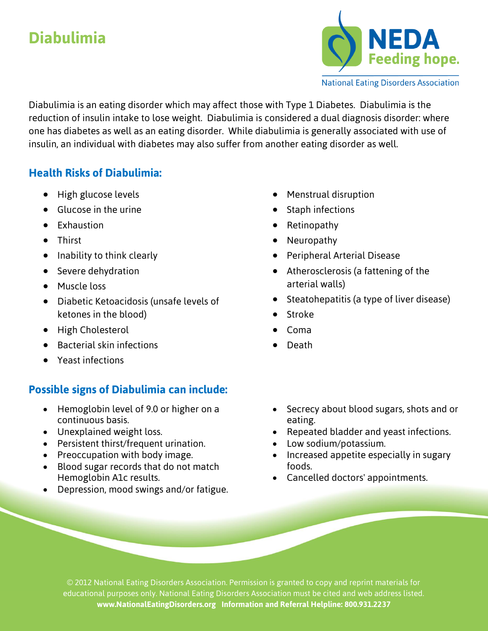# **Diabulimia**



**National Eating Disorders Association** 

Diabulimia is an eating disorder which may affect those with Type 1 Diabetes. Diabulimia is the reduction of insulin intake to lose weight. Diabulimia is considered a dual diagnosis disorder: where one has diabetes as well as an eating disorder. While diabulimia is generally associated with use of insulin, an individual with diabetes may also suffer from another eating disorder as well.

## **Health Risks of Diabulimia:**

- High glucose levels
- Glucose in the urine
- Exhaustion
- Thirst
- Inability to think clearly
- **•** Severe dehydration
- Muscle loss
- Diabetic Ketoacidosis (unsafe levels of ketones in the blood)
- High Cholesterol
- Bacterial skin infections
- Yeast infections

# **Possible signs of Diabulimia can include:**

- Hemoglobin level of 9.0 or higher on a continuous basis.
- Unexplained weight loss.
- Persistent thirst/frequent urination.
- Preoccupation with body image.
- Blood sugar records that do not match Hemoglobin A1c results.
- Depression, mood swings and/or fatigue.
- Menstrual disruption
- Staph infections
- Retinopathy
- Neuropathy
- **•** Peripheral Arterial Disease
- Atherosclerosis (a fattening of the arterial walls)
- Steatohepatitis (a type of liver disease)
- Stroke
- Coma
- Death
- Secrecy about blood sugars, shots and or eating.
- Repeated bladder and yeast infections.
- Low sodium/potassium.
- Increased appetite especially in sugary foods.
- Cancelled doctors' appointments.

© 2012 National Eating Disorders Association. Permission is granted to copy and reprint materials for educational purposes only. National Eating Disorders Association must be cited and web address listed. **www.NationalEatingDisorders.org Information and Referral Helpline: 800.931.2237**